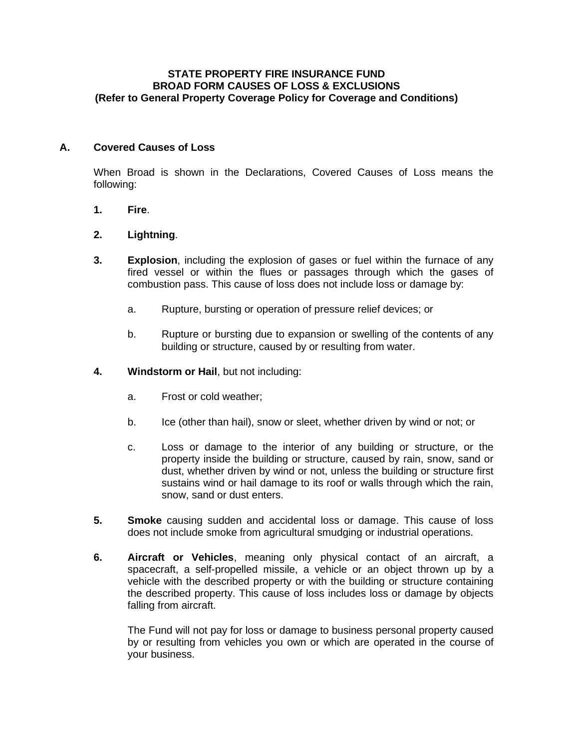### **STATE PROPERTY FIRE INSURANCE FUND BROAD FORM CAUSES OF LOSS & EXCLUSIONS (Refer to General Property Coverage Policy for Coverage and Conditions)**

# **A. Covered Causes of Loss**

When Broad is shown in the Declarations, Covered Causes of Loss means the following:

# **1. Fire**.

# **2. Lightning**.

- **3. Explosion**, including the explosion of gases or fuel within the furnace of any fired vessel or within the flues or passages through which the gases of combustion pass. This cause of loss does not include loss or damage by:
	- a. Rupture, bursting or operation of pressure relief devices; or
	- b. Rupture or bursting due to expansion or swelling of the contents of any building or structure, caused by or resulting from water.

# **4. Windstorm or Hail**, but not including:

- a. Frost or cold weather;
- b. Ice (other than hail), snow or sleet, whether driven by wind or not; or
- c. Loss or damage to the interior of any building or structure, or the property inside the building or structure, caused by rain, snow, sand or dust, whether driven by wind or not, unless the building or structure first sustains wind or hail damage to its roof or walls through which the rain, snow, sand or dust enters.
- **5. Smoke** causing sudden and accidental loss or damage. This cause of loss does not include smoke from agricultural smudging or industrial operations.
- **6. Aircraft or Vehicles**, meaning only physical contact of an aircraft, a spacecraft, a self-propelled missile, a vehicle or an object thrown up by a vehicle with the described property or with the building or structure containing the described property. This cause of loss includes loss or damage by objects falling from aircraft.

The Fund will not pay for loss or damage to business personal property caused by or resulting from vehicles you own or which are operated in the course of your business.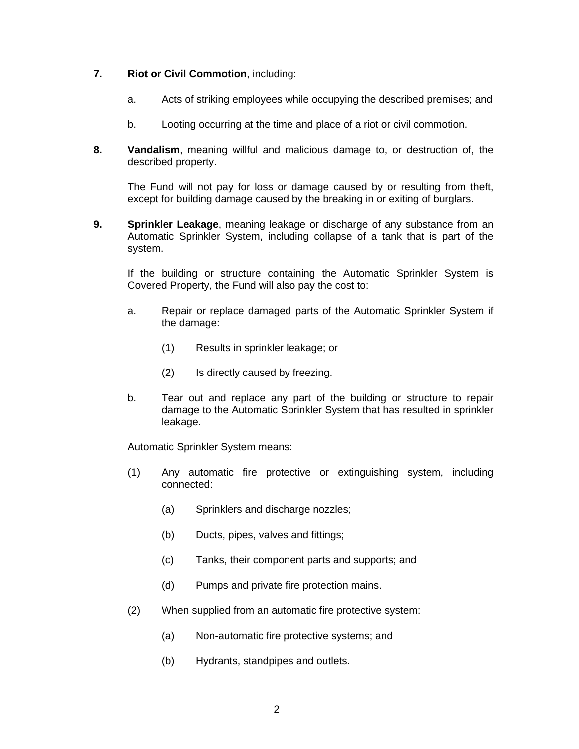- **7. Riot or Civil Commotion**, including:
	- a. Acts of striking employees while occupying the described premises; and
	- b. Looting occurring at the time and place of a riot or civil commotion.
- **8. Vandalism**, meaning willful and malicious damage to, or destruction of, the described property.

The Fund will not pay for loss or damage caused by or resulting from theft, except for building damage caused by the breaking in or exiting of burglars.

**9. Sprinkler Leakage**, meaning leakage or discharge of any substance from an Automatic Sprinkler System, including collapse of a tank that is part of the system.

If the building or structure containing the Automatic Sprinkler System is Covered Property, the Fund will also pay the cost to:

- a. Repair or replace damaged parts of the Automatic Sprinkler System if the damage:
	- (1) Results in sprinkler leakage; or
	- (2) Is directly caused by freezing.
- b. Tear out and replace any part of the building or structure to repair damage to the Automatic Sprinkler System that has resulted in sprinkler leakage.

Automatic Sprinkler System means:

- (1) Any automatic fire protective or extinguishing system, including connected:
	- (a) Sprinklers and discharge nozzles;
	- (b) Ducts, pipes, valves and fittings;
	- (c) Tanks, their component parts and supports; and
	- (d) Pumps and private fire protection mains.
- (2) When supplied from an automatic fire protective system:
	- (a) Non-automatic fire protective systems; and
	- (b) Hydrants, standpipes and outlets.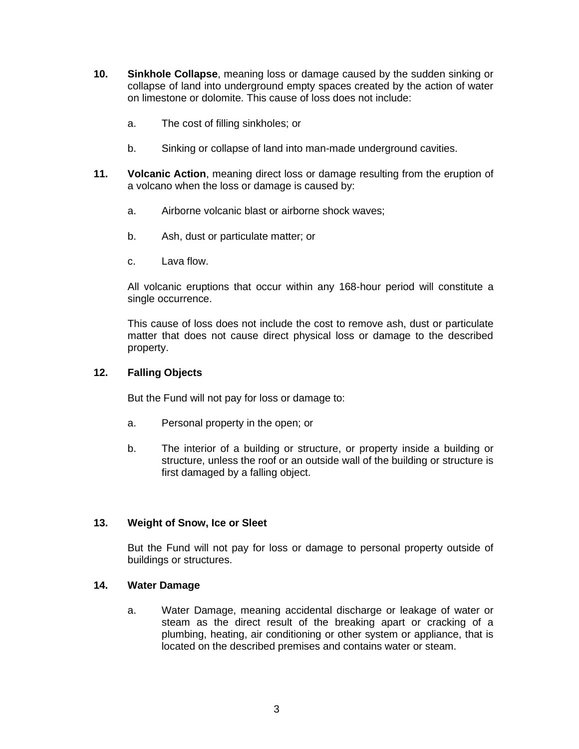- **10. Sinkhole Collapse**, meaning loss or damage caused by the sudden sinking or collapse of land into underground empty spaces created by the action of water on limestone or dolomite. This cause of loss does not include:
	- a. The cost of filling sinkholes; or
	- b. Sinking or collapse of land into man-made underground cavities.
- **11. Volcanic Action**, meaning direct loss or damage resulting from the eruption of a volcano when the loss or damage is caused by:
	- a. Airborne volcanic blast or airborne shock waves;
	- b. Ash, dust or particulate matter; or
	- c. Lava flow.

All volcanic eruptions that occur within any 168-hour period will constitute a single occurrence.

This cause of loss does not include the cost to remove ash, dust or particulate matter that does not cause direct physical loss or damage to the described property.

### **12. Falling Objects**

But the Fund will not pay for loss or damage to:

- a. Personal property in the open; or
- b. The interior of a building or structure, or property inside a building or structure, unless the roof or an outside wall of the building or structure is first damaged by a falling object.

# **13. Weight of Snow, Ice or Sleet**

But the Fund will not pay for loss or damage to personal property outside of buildings or structures.

#### **14. Water Damage**

a. Water Damage, meaning accidental discharge or leakage of water or steam as the direct result of the breaking apart or cracking of a plumbing, heating, air conditioning or other system or appliance, that is located on the described premises and contains water or steam.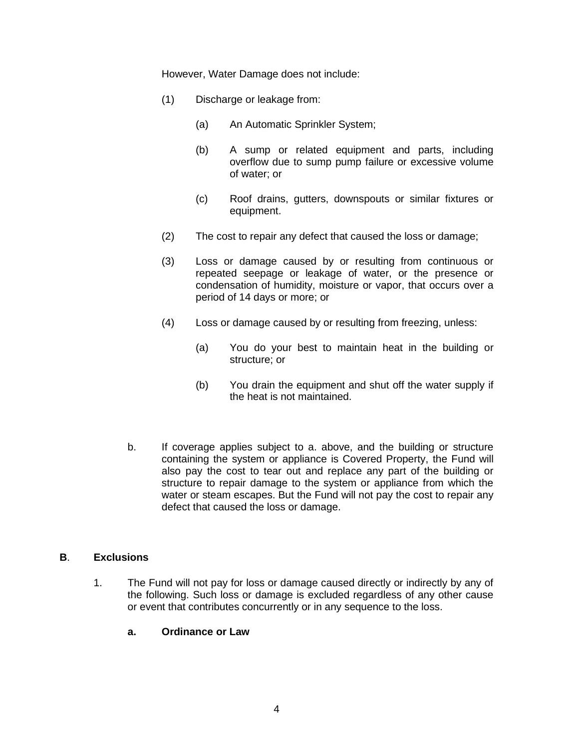However, Water Damage does not include:

- (1) Discharge or leakage from:
	- (a) An Automatic Sprinkler System;
	- (b) A sump or related equipment and parts, including overflow due to sump pump failure or excessive volume of water; or
	- (c) Roof drains, gutters, downspouts or similar fixtures or equipment.
- (2) The cost to repair any defect that caused the loss or damage;
- (3) Loss or damage caused by or resulting from continuous or repeated seepage or leakage of water, or the presence or condensation of humidity, moisture or vapor, that occurs over a period of 14 days or more; or
- (4) Loss or damage caused by or resulting from freezing, unless:
	- (a) You do your best to maintain heat in the building or structure; or
	- (b) You drain the equipment and shut off the water supply if the heat is not maintained.
- b. If coverage applies subject to a. above, and the building or structure containing the system or appliance is Covered Property, the Fund will also pay the cost to tear out and replace any part of the building or structure to repair damage to the system or appliance from which the water or steam escapes. But the Fund will not pay the cost to repair any defect that caused the loss or damage.

### **B**. **Exclusions**

1. The Fund will not pay for loss or damage caused directly or indirectly by any of the following. Such loss or damage is excluded regardless of any other cause or event that contributes concurrently or in any sequence to the loss.

#### **a. Ordinance or Law**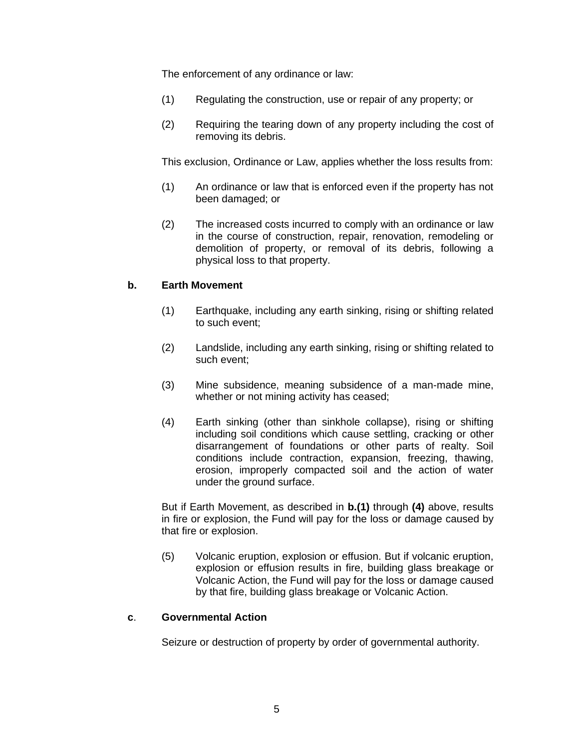The enforcement of any ordinance or law:

- (1) Regulating the construction, use or repair of any property; or
- (2) Requiring the tearing down of any property including the cost of removing its debris.

This exclusion, Ordinance or Law, applies whether the loss results from:

- (1) An ordinance or law that is enforced even if the property has not been damaged; or
- (2) The increased costs incurred to comply with an ordinance or law in the course of construction, repair, renovation, remodeling or demolition of property, or removal of its debris, following a physical loss to that property.

# **b. Earth Movement**

- (1) Earthquake, including any earth sinking, rising or shifting related to such event;
- (2) Landslide, including any earth sinking, rising or shifting related to such event;
- (3) Mine subsidence, meaning subsidence of a man-made mine, whether or not mining activity has ceased;
- (4) Earth sinking (other than sinkhole collapse), rising or shifting including soil conditions which cause settling, cracking or other disarrangement of foundations or other parts of realty. Soil conditions include contraction, expansion, freezing, thawing, erosion, improperly compacted soil and the action of water under the ground surface.

But if Earth Movement, as described in **b.(1)** through **(4)** above, results in fire or explosion, the Fund will pay for the loss or damage caused by that fire or explosion.

(5) Volcanic eruption, explosion or effusion. But if volcanic eruption, explosion or effusion results in fire, building glass breakage or Volcanic Action, the Fund will pay for the loss or damage caused by that fire, building glass breakage or Volcanic Action.

# **c**. **Governmental Action**

Seizure or destruction of property by order of governmental authority.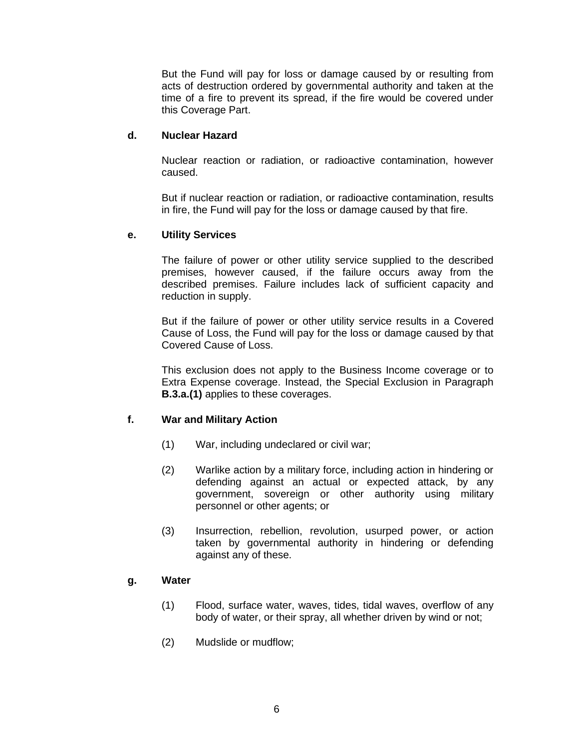But the Fund will pay for loss or damage caused by or resulting from acts of destruction ordered by governmental authority and taken at the time of a fire to prevent its spread, if the fire would be covered under this Coverage Part.

### **d. Nuclear Hazard**

Nuclear reaction or radiation, or radioactive contamination, however caused.

But if nuclear reaction or radiation, or radioactive contamination, results in fire, the Fund will pay for the loss or damage caused by that fire.

### **e. Utility Services**

The failure of power or other utility service supplied to the described premises, however caused, if the failure occurs away from the described premises. Failure includes lack of sufficient capacity and reduction in supply.

But if the failure of power or other utility service results in a Covered Cause of Loss, the Fund will pay for the loss or damage caused by that Covered Cause of Loss.

This exclusion does not apply to the Business Income coverage or to Extra Expense coverage. Instead, the Special Exclusion in Paragraph **B.3.a.(1)** applies to these coverages.

# **f. War and Military Action**

- (1) War, including undeclared or civil war;
- (2) Warlike action by a military force, including action in hindering or defending against an actual or expected attack, by any government, sovereign or other authority using military personnel or other agents; or
- (3) Insurrection, rebellion, revolution, usurped power, or action taken by governmental authority in hindering or defending against any of these.

### **g. Water**

- (1) Flood, surface water, waves, tides, tidal waves, overflow of any body of water, or their spray, all whether driven by wind or not;
- (2) Mudslide or mudflow;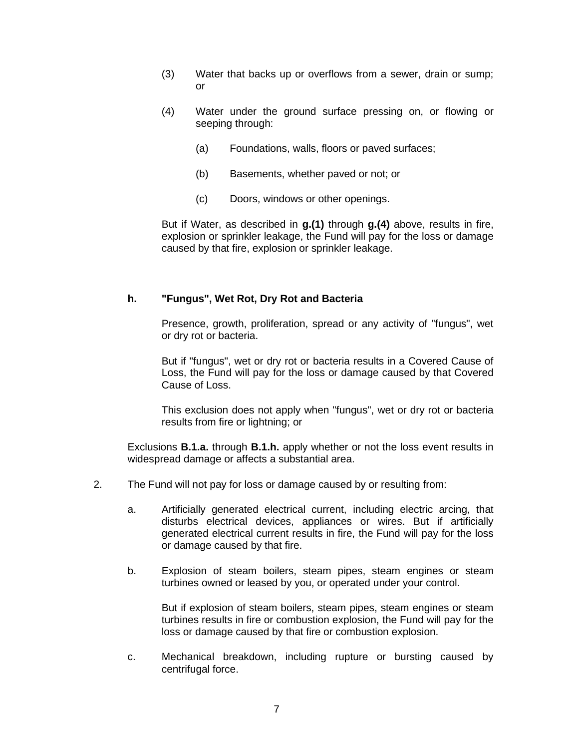- (3) Water that backs up or overflows from a sewer, drain or sump; or
- (4) Water under the ground surface pressing on, or flowing or seeping through:
	- (a) Foundations, walls, floors or paved surfaces;
	- (b) Basements, whether paved or not; or
	- (c) Doors, windows or other openings.

But if Water, as described in **g.(1)** through **g.(4)** above, results in fire, explosion or sprinkler leakage, the Fund will pay for the loss or damage caused by that fire, explosion or sprinkler leakage.

### **h. "Fungus", Wet Rot, Dry Rot and Bacteria**

Presence, growth, proliferation, spread or any activity of "fungus", wet or dry rot or bacteria.

But if "fungus", wet or dry rot or bacteria results in a Covered Cause of Loss, the Fund will pay for the loss or damage caused by that Covered Cause of Loss.

This exclusion does not apply when "fungus", wet or dry rot or bacteria results from fire or lightning; or

Exclusions **B.1.a.** through **B.1.h.** apply whether or not the loss event results in widespread damage or affects a substantial area.

- 2. The Fund will not pay for loss or damage caused by or resulting from:
	- a. Artificially generated electrical current, including electric arcing, that disturbs electrical devices, appliances or wires. But if artificially generated electrical current results in fire, the Fund will pay for the loss or damage caused by that fire.
	- b. Explosion of steam boilers, steam pipes, steam engines or steam turbines owned or leased by you, or operated under your control.

But if explosion of steam boilers, steam pipes, steam engines or steam turbines results in fire or combustion explosion, the Fund will pay for the loss or damage caused by that fire or combustion explosion.

c. Mechanical breakdown, including rupture or bursting caused by centrifugal force.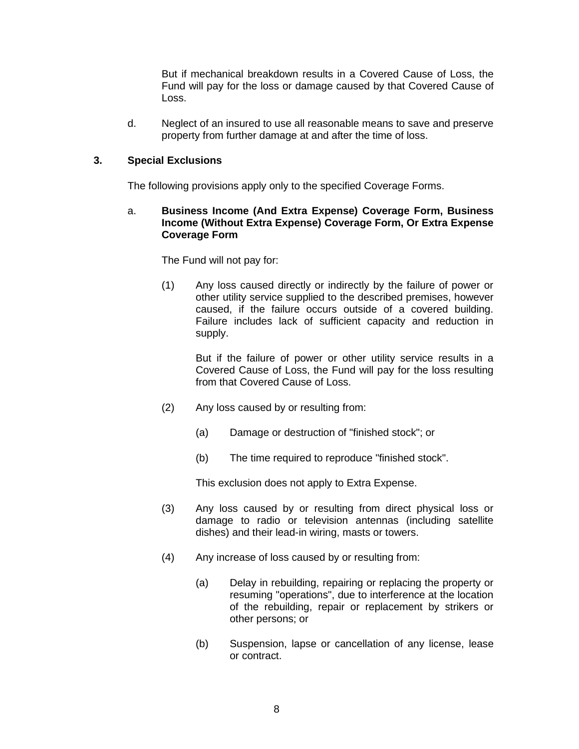But if mechanical breakdown results in a Covered Cause of Loss, the Fund will pay for the loss or damage caused by that Covered Cause of Loss.

d. Neglect of an insured to use all reasonable means to save and preserve property from further damage at and after the time of loss.

#### **3. Special Exclusions**

The following provisions apply only to the specified Coverage Forms.

#### a. **Business Income (And Extra Expense) Coverage Form, Business Income (Without Extra Expense) Coverage Form, Or Extra Expense Coverage Form**

The Fund will not pay for:

(1) Any loss caused directly or indirectly by the failure of power or other utility service supplied to the described premises, however caused, if the failure occurs outside of a covered building. Failure includes lack of sufficient capacity and reduction in supply.

But if the failure of power or other utility service results in a Covered Cause of Loss, the Fund will pay for the loss resulting from that Covered Cause of Loss.

- (2) Any loss caused by or resulting from:
	- (a) Damage or destruction of "finished stock"; or
	- (b) The time required to reproduce "finished stock".

This exclusion does not apply to Extra Expense.

- (3) Any loss caused by or resulting from direct physical loss or damage to radio or television antennas (including satellite dishes) and their lead-in wiring, masts or towers.
- (4) Any increase of loss caused by or resulting from:
	- (a) Delay in rebuilding, repairing or replacing the property or resuming "operations", due to interference at the location of the rebuilding, repair or replacement by strikers or other persons; or
	- (b) Suspension, lapse or cancellation of any license, lease or contract.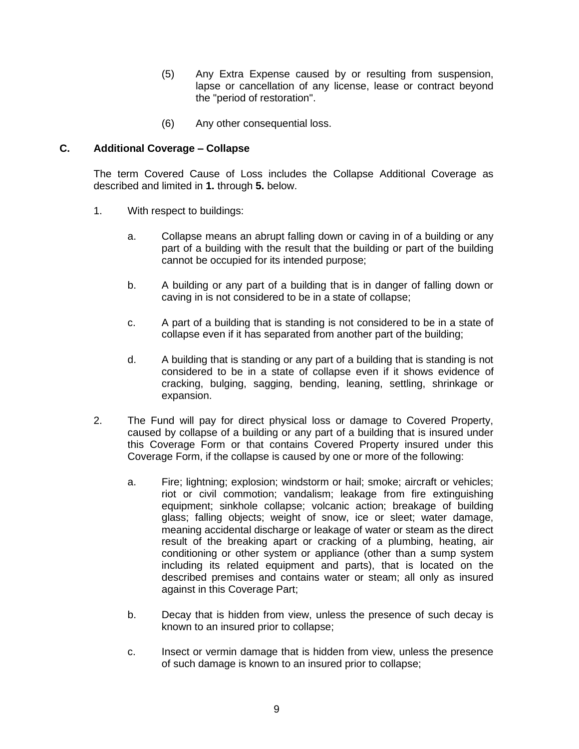- (5) Any Extra Expense caused by or resulting from suspension, lapse or cancellation of any license, lease or contract beyond the "period of restoration".
- (6) Any other consequential loss.

# **C. Additional Coverage – Collapse**

The term Covered Cause of Loss includes the Collapse Additional Coverage as described and limited in **1.** through **5.** below.

- 1. With respect to buildings:
	- a. Collapse means an abrupt falling down or caving in of a building or any part of a building with the result that the building or part of the building cannot be occupied for its intended purpose;
	- b. A building or any part of a building that is in danger of falling down or caving in is not considered to be in a state of collapse;
	- c. A part of a building that is standing is not considered to be in a state of collapse even if it has separated from another part of the building;
	- d. A building that is standing or any part of a building that is standing is not considered to be in a state of collapse even if it shows evidence of cracking, bulging, sagging, bending, leaning, settling, shrinkage or expansion.
- 2. The Fund will pay for direct physical loss or damage to Covered Property, caused by collapse of a building or any part of a building that is insured under this Coverage Form or that contains Covered Property insured under this Coverage Form, if the collapse is caused by one or more of the following:
	- a. Fire; lightning; explosion; windstorm or hail; smoke; aircraft or vehicles; riot or civil commotion; vandalism; leakage from fire extinguishing equipment; sinkhole collapse; volcanic action; breakage of building glass; falling objects; weight of snow, ice or sleet; water damage, meaning accidental discharge or leakage of water or steam as the direct result of the breaking apart or cracking of a plumbing, heating, air conditioning or other system or appliance (other than a sump system including its related equipment and parts), that is located on the described premises and contains water or steam; all only as insured against in this Coverage Part;
	- b. Decay that is hidden from view, unless the presence of such decay is known to an insured prior to collapse;
	- c. Insect or vermin damage that is hidden from view, unless the presence of such damage is known to an insured prior to collapse;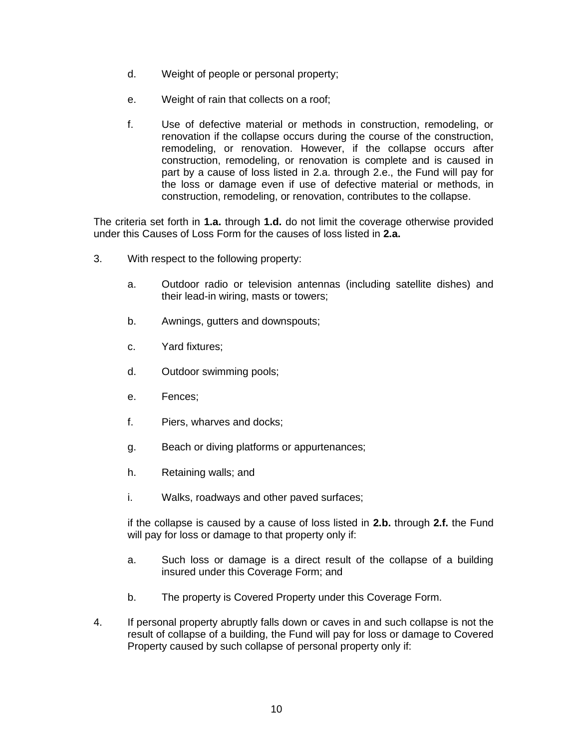- d. Weight of people or personal property;
- e. Weight of rain that collects on a roof;
- f. Use of defective material or methods in construction, remodeling, or renovation if the collapse occurs during the course of the construction, remodeling, or renovation. However, if the collapse occurs after construction, remodeling, or renovation is complete and is caused in part by a cause of loss listed in 2.a. through 2.e., the Fund will pay for the loss or damage even if use of defective material or methods, in construction, remodeling, or renovation, contributes to the collapse.

The criteria set forth in **1.a.** through **1.d.** do not limit the coverage otherwise provided under this Causes of Loss Form for the causes of loss listed in **2.a.**

- 3. With respect to the following property:
	- a. Outdoor radio or television antennas (including satellite dishes) and their lead-in wiring, masts or towers;
	- b. Awnings, gutters and downspouts;
	- c. Yard fixtures;
	- d. Outdoor swimming pools;
	- e. Fences;
	- f. Piers, wharves and docks;
	- g. Beach or diving platforms or appurtenances;
	- h. Retaining walls; and
	- i. Walks, roadways and other paved surfaces;

if the collapse is caused by a cause of loss listed in **2.b.** through **2.f.** the Fund will pay for loss or damage to that property only if:

- a. Such loss or damage is a direct result of the collapse of a building insured under this Coverage Form; and
- b. The property is Covered Property under this Coverage Form.
- 4. If personal property abruptly falls down or caves in and such collapse is not the result of collapse of a building, the Fund will pay for loss or damage to Covered Property caused by such collapse of personal property only if: